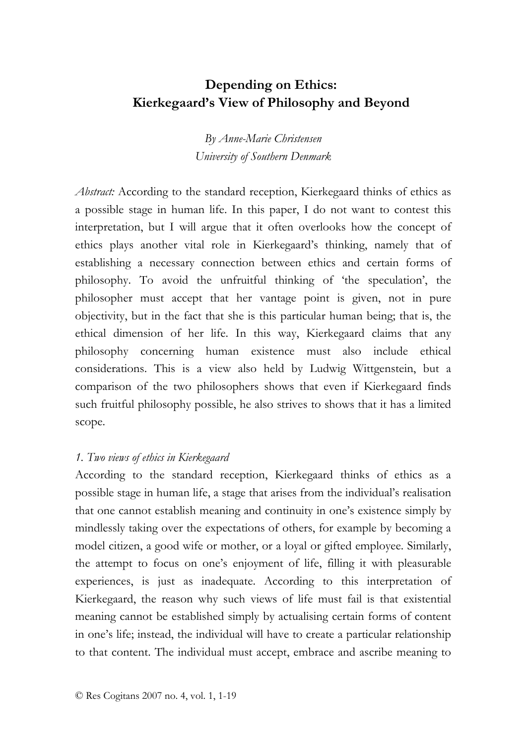# **Depending on Ethics: Kierkegaard's View of Philosophy and Beyond**

*By Anne-Marie Christensen University of Southern Denmark* 

*Abstract:* According to the standard reception, Kierkegaard thinks of ethics as a possible stage in human life. In this paper, I do not want to contest this interpretation, but I will argue that it often overlooks how the concept of ethics plays another vital role in Kierkegaard's thinking, namely that of establishing a necessary connection between ethics and certain forms of philosophy. To avoid the unfruitful thinking of 'the speculation', the philosopher must accept that her vantage point is given, not in pure objectivity, but in the fact that she is this particular human being; that is, the ethical dimension of her life. In this way, Kierkegaard claims that any philosophy concerning human existence must also include ethical considerations. This is a view also held by Ludwig Wittgenstein, but a comparison of the two philosophers shows that even if Kierkegaard finds such fruitful philosophy possible, he also strives to shows that it has a limited scope.

# *1. Two views of ethics in Kierkegaard*

According to the standard reception, Kierkegaard thinks of ethics as a possible stage in human life, a stage that arises from the individual's realisation that one cannot establish meaning and continuity in one's existence simply by mindlessly taking over the expectations of others, for example by becoming a model citizen, a good wife or mother, or a loyal or gifted employee. Similarly, the attempt to focus on one's enjoyment of life, filling it with pleasurable experiences, is just as inadequate. According to this interpretation of Kierkegaard, the reason why such views of life must fail is that existential meaning cannot be established simply by actualising certain forms of content in one's life; instead, the individual will have to create a particular relationship to that content. The individual must accept, embrace and ascribe meaning to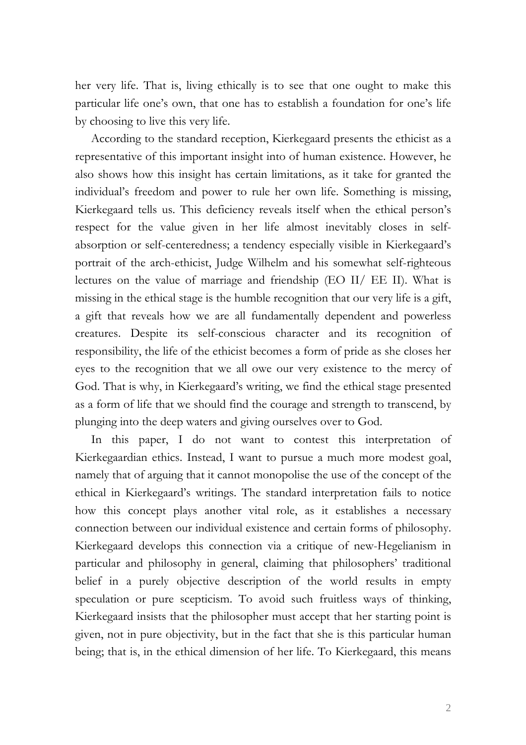her very life. That is, living ethically is to see that one ought to make this particular life one's own, that one has to establish a foundation for one's life by choosing to live this very life.

According to the standard reception, Kierkegaard presents the ethicist as a representative of this important insight into of human existence. However, he also shows how this insight has certain limitations, as it take for granted the individual's freedom and power to rule her own life. Something is missing, Kierkegaard tells us. This deficiency reveals itself when the ethical person's respect for the value given in her life almost inevitably closes in selfabsorption or self-centeredness; a tendency especially visible in Kierkegaard's portrait of the arch-ethicist, Judge Wilhelm and his somewhat self-righteous lectures on the value of marriage and friendship (EO II/ EE II). What is missing in the ethical stage is the humble recognition that our very life is a gift, a gift that reveals how we are all fundamentally dependent and powerless creatures. Despite its self-conscious character and its recognition of responsibility, the life of the ethicist becomes a form of pride as she closes her eyes to the recognition that we all owe our very existence to the mercy of God. That is why, in Kierkegaard's writing, we find the ethical stage presented as a form of life that we should find the courage and strength to transcend, by plunging into the deep waters and giving ourselves over to God.

In this paper, I do not want to contest this interpretation of Kierkegaardian ethics. Instead, I want to pursue a much more modest goal, namely that of arguing that it cannot monopolise the use of the concept of the ethical in Kierkegaard's writings. The standard interpretation fails to notice how this concept plays another vital role, as it establishes a necessary connection between our individual existence and certain forms of philosophy. Kierkegaard develops this connection via a critique of new-Hegelianism in particular and philosophy in general, claiming that philosophers' traditional belief in a purely objective description of the world results in empty speculation or pure scepticism. To avoid such fruitless ways of thinking, Kierkegaard insists that the philosopher must accept that her starting point is given, not in pure objectivity, but in the fact that she is this particular human being; that is, in the ethical dimension of her life. To Kierkegaard, this means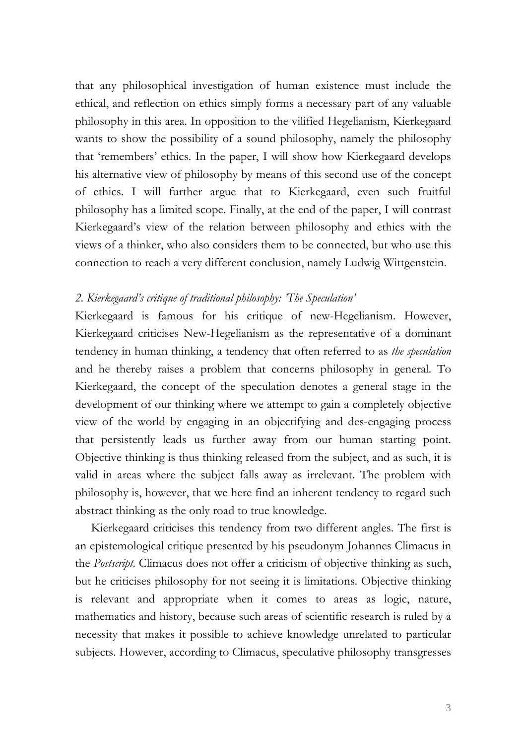that any philosophical investigation of human existence must include the ethical, and reflection on ethics simply forms a necessary part of any valuable philosophy in this area. In opposition to the vilified Hegelianism, Kierkegaard wants to show the possibility of a sound philosophy, namely the philosophy that 'remembers' ethics. In the paper, I will show how Kierkegaard develops his alternative view of philosophy by means of this second use of the concept of ethics. I will further argue that to Kierkegaard, even such fruitful philosophy has a limited scope. Finally, at the end of the paper, I will contrast Kierkegaard's view of the relation between philosophy and ethics with the views of a thinker, who also considers them to be connected, but who use this connection to reach a very different conclusion, namely Ludwig Wittgenstein.

## *2. Kierkegaard's critique of traditional philosophy: 'The Speculation'*

Kierkegaard is famous for his critique of new-Hegelianism. However, Kierkegaard criticises New-Hegelianism as the representative of a dominant tendency in human thinking, a tendency that often referred to as *the speculation* and he thereby raises a problem that concerns philosophy in general. To Kierkegaard, the concept of the speculation denotes a general stage in the development of our thinking where we attempt to gain a completely objective view of the world by engaging in an objectifying and des-engaging process that persistently leads us further away from our human starting point. Objective thinking is thus thinking released from the subject, and as such, it is valid in areas where the subject falls away as irrelevant. The problem with philosophy is, however, that we here find an inherent tendency to regard such abstract thinking as the only road to true knowledge.

Kierkegaard criticises this tendency from two different angles. The first is an epistemological critique presented by his pseudonym Johannes Climacus in the *Postscript*. Climacus does not offer a criticism of objective thinking as such, but he criticises philosophy for not seeing it is limitations. Objective thinking is relevant and appropriate when it comes to areas as logic, nature, mathematics and history, because such areas of scientific research is ruled by a necessity that makes it possible to achieve knowledge unrelated to particular subjects. However, according to Climacus, speculative philosophy transgresses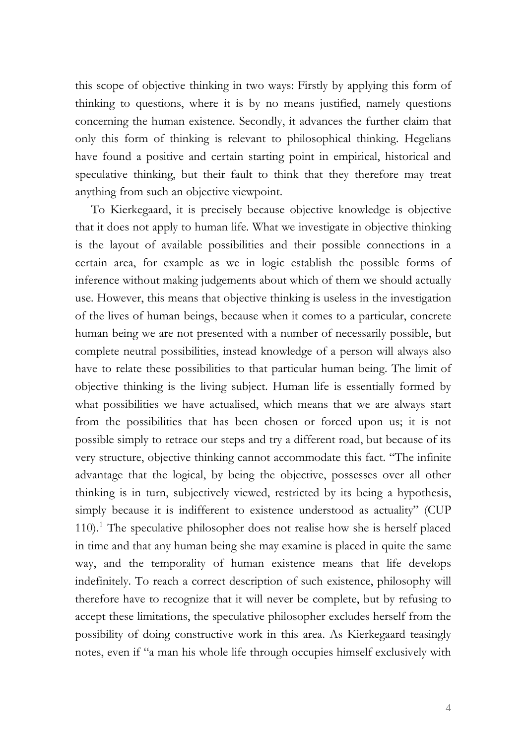this scope of objective thinking in two ways: Firstly by applying this form of thinking to questions, where it is by no means justified, namely questions concerning the human existence. Secondly, it advances the further claim that only this form of thinking is relevant to philosophical thinking. Hegelians have found a positive and certain starting point in empirical, historical and speculative thinking, but their fault to think that they therefore may treat anything from such an objective viewpoint.

To Kierkegaard, it is precisely because objective knowledge is objective that it does not apply to human life. What we investigate in objective thinking is the layout of available possibilities and their possible connections in a certain area, for example as we in logic establish the possible forms of inference without making judgements about which of them we should actually use. However, this means that objective thinking is useless in the investigation of the lives of human beings, because when it comes to a particular, concrete human being we are not presented with a number of necessarily possible, but complete neutral possibilities, instead knowledge of a person will always also have to relate these possibilities to that particular human being. The limit of objective thinking is the living subject. Human life is essentially formed by what possibilities we have actualised, which means that we are always start from the possibilities that has been chosen or forced upon us; it is not possible simply to retrace our steps and try a different road, but because of its very structure, objective thinking cannot accommodate this fact. "The infinite advantage that the logical, by being the objective, possesses over all other thinking is in turn, subjectively viewed, restricted by its being a hypothesis, simply because it is indifferent to existence understood as actuality" (CUP [1](#page-18-0)10).<sup>1</sup> The speculative philosopher does not realise how she is herself placed in time and that any human being she may examine is placed in quite the same way, and the temporality of human existence means that life develops indefinitely. To reach a correct description of such existence, philosophy will therefore have to recognize that it will never be complete, but by refusing to accept these limitations, the speculative philosopher excludes herself from the possibility of doing constructive work in this area. As Kierkegaard teasingly notes, even if "a man his whole life through occupies himself exclusively with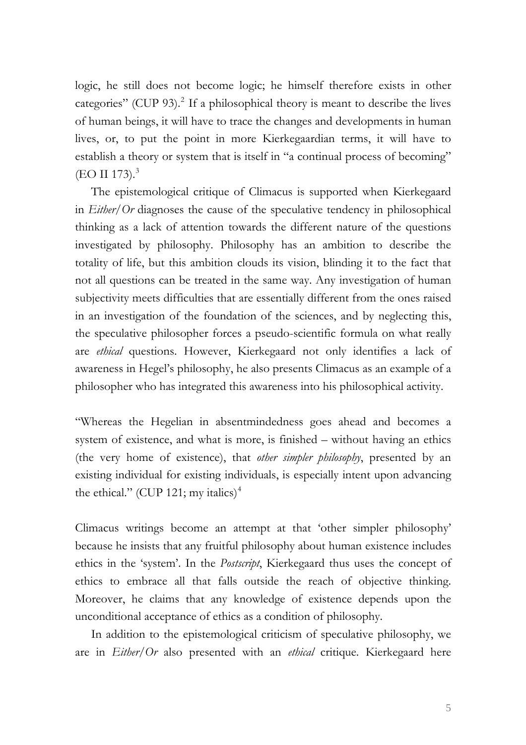logic, he still does not become logic; he himself therefore exists in other categories" (CUP 93).<sup>[2](#page-18-1)</sup> If a philosophical theory is meant to describe the lives of human beings, it will have to trace the changes and developments in human lives, or, to put the point in more Kierkegaardian terms, it will have to establish a theory or system that is itself in "a continual process of becoming"  $(EO II 173).$  $(EO II 173).$  $(EO II 173).$ <sup>3</sup>

The epistemological critique of Climacus is supported when Kierkegaard in *Either/Or* diagnoses the cause of the speculative tendency in philosophical thinking as a lack of attention towards the different nature of the questions investigated by philosophy. Philosophy has an ambition to describe the totality of life, but this ambition clouds its vision, blinding it to the fact that not all questions can be treated in the same way. Any investigation of human subjectivity meets difficulties that are essentially different from the ones raised in an investigation of the foundation of the sciences, and by neglecting this, the speculative philosopher forces a pseudo-scientific formula on what really are *ethical* questions. However, Kierkegaard not only identifies a lack of awareness in Hegel's philosophy, he also presents Climacus as an example of a philosopher who has integrated this awareness into his philosophical activity.

"Whereas the Hegelian in absentmindedness goes ahead and becomes a system of existence, and what is more, is finished – without having an ethics (the very home of existence), that *other simpler philosophy*, presented by an existing individual for existing individuals, is especially intent upon advancing the ethical." (CUP 121; my italics)<sup>[4](#page-18-1)</sup>

Climacus writings become an attempt at that 'other simpler philosophy' because he insists that any fruitful philosophy about human existence includes ethics in the 'system'. In the *Postscript*, Kierkegaard thus uses the concept of ethics to embrace all that falls outside the reach of objective thinking. Moreover, he claims that any knowledge of existence depends upon the unconditional acceptance of ethics as a condition of philosophy.

In addition to the epistemological criticism of speculative philosophy, we are in *Either/Or* also presented with an *ethical* critique. Kierkegaard here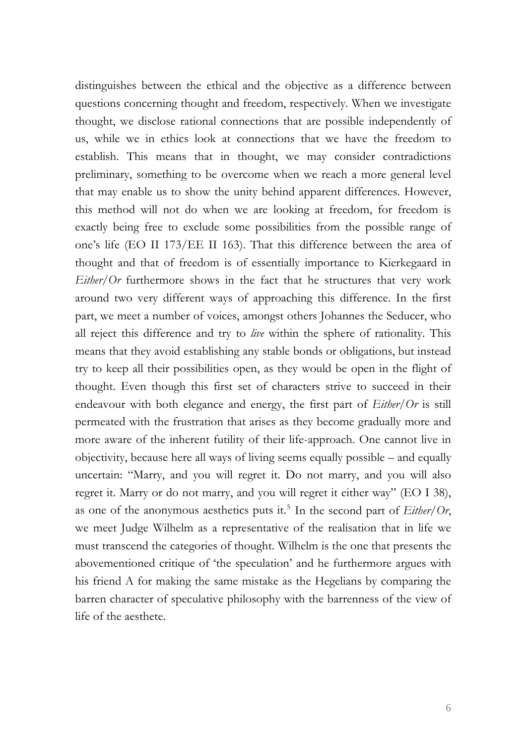distinguishes between the ethical and the objective as a difference between questions concerning thought and freedom, respectively. When we investigate thought, we disclose rational connections that are possible independently of us, while we in ethics look at connections that we have the freedom to establish. This means that in thought, we may consider contradictions preliminary, something to be overcome when we reach a more general level that may enable us to show the unity behind apparent differences. However, this method will not do when we are looking at freedom, for freedom is exactly being free to exclude some possibilities from the possible range of one's life (EO II 173/EE II 163). That this difference between the area of thought and that of freedom is of essentially importance to Kierkegaard in *Either/Or* furthermore shows in the fact that he structures that very work around two very different ways of approaching this difference. In the first part, we meet a number of voices, amongst others Johannes the Seducer, who all reject this difference and try to *live* within the sphere of rationality. This means that they avoid establishing any stable bonds or obligations, but instead try to keep all their possibilities open, as they would be open in the flight of thought. Even though this first set of characters strive to succeed in their endeavour with both elegance and energy, the first part of *Either/Or* is still permeated with the frustration that arises as they become gradually more and more aware of the inherent futility of their life-approach. One cannot live in objectivity, because here all ways of living seems equally possible – and equally uncertain: "Marry, and you will regret it. Do not marry, and you will also regret it. Marry or do not marry, and you will regret it either way" (EO I 38), as one of the anonymous aesthetics puts it.<sup>[5](#page-18-1)</sup> In the second part of  $Either/Or$ , we meet Judge Wilhelm as a representative of the realisation that in life we must transcend the categories of thought. Wilhelm is the one that presents the abovementioned critique of 'the speculation' and he furthermore argues with his friend A for making the same mistake as the Hegelians by comparing the barren character of speculative philosophy with the barrenness of the view of life of the aesthete.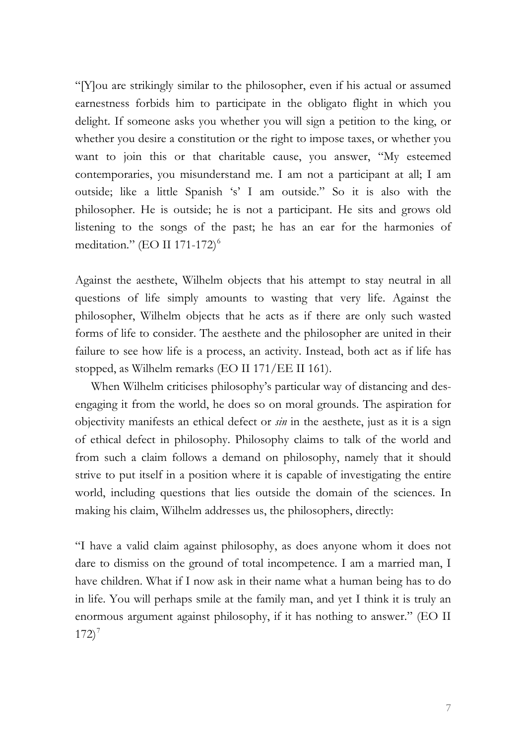"[Y]ou are strikingly similar to the philosopher, even if his actual or assumed earnestness forbids him to participate in the obligato flight in which you delight. If someone asks you whether you will sign a petition to the king, or whether you desire a constitution or the right to impose taxes, or whether you want to join this or that charitable cause, you answer, "My esteemed contemporaries, you misunderstand me. I am not a participant at all; I am outside; like a little Spanish 's' I am outside." So it is also with the philosopher. He is outside; he is not a participant. He sits and grows old listening to the songs of the past; he has an ear for the harmonies of meditation." (EO II 171-172) $<sup>6</sup>$  $<sup>6</sup>$  $<sup>6</sup>$ </sup>

Against the aesthete, Wilhelm objects that his attempt to stay neutral in all questions of life simply amounts to wasting that very life. Against the philosopher, Wilhelm objects that he acts as if there are only such wasted forms of life to consider. The aesthete and the philosopher are united in their failure to see how life is a process, an activity. Instead, both act as if life has stopped, as Wilhelm remarks (EO II 171/EE II 161).

When Wilhelm criticises philosophy's particular way of distancing and desengaging it from the world, he does so on moral grounds. The aspiration for objectivity manifests an ethical defect or *sin* in the aesthete, just as it is a sign of ethical defect in philosophy. Philosophy claims to talk of the world and from such a claim follows a demand on philosophy, namely that it should strive to put itself in a position where it is capable of investigating the entire world, including questions that lies outside the domain of the sciences. In making his claim, Wilhelm addresses us, the philosophers, directly:

"I have a valid claim against philosophy, as does anyone whom it does not dare to dismiss on the ground of total incompetence. I am a married man, I have children. What if I now ask in their name what a human being has to do in life. You will perhaps smile at the family man, and yet I think it is truly an enormous argument against philosophy, if it has nothing to answer." (EO II  $172)^7$  $172)^7$  $172)^7$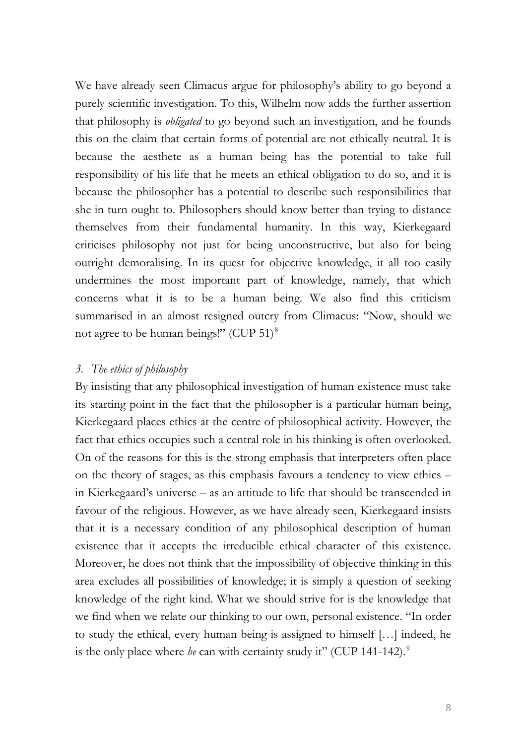We have already seen Climacus argue for philosophy's ability to go beyond a purely scientific investigation. To this, Wilhelm now adds the further assertion that philosophy is *obligated* to go beyond such an investigation, and he founds this on the claim that certain forms of potential are not ethically neutral. It is because the aesthete as a human being has the potential to take full responsibility of his life that he meets an ethical obligation to do so, and it is because the philosopher has a potential to describe such responsibilities that she in turn ought to. Philosophers should know better than trying to distance themselves from their fundamental humanity. In this way, Kierkegaard criticises philosophy not just for being unconstructive, but also for being outright demoralising. In its quest for objective knowledge, it all too easily undermines the most important part of knowledge, namely, that which concerns what it is to be a human being. We also find this criticism summarised in an almost resigned outcry from Climacus: "Now, should we not agree to be human beings!" (CUP  $51$ )<sup>[8](#page-18-1)</sup>

#### *3. The ethics of philosophy*

By insisting that any philosophical investigation of human existence must take its starting point in the fact that the philosopher is a particular human being, Kierkegaard places ethics at the centre of philosophical activity. However, the fact that ethics occupies such a central role in his thinking is often overlooked. On of the reasons for this is the strong emphasis that interpreters often place on the theory of stages, as this emphasis favours a tendency to view ethics – in Kierkegaard's universe – as an attitude to life that should be transcended in favour of the religious. However, as we have already seen, Kierkegaard insists that it is a necessary condition of any philosophical description of human existence that it accepts the irreducible ethical character of this existence. Moreover, he does not think that the impossibility of objective thinking in this area excludes all possibilities of knowledge; it is simply a question of seeking knowledge of the right kind. What we should strive for is the knowledge that we find when we relate our thinking to our own, personal existence. "In order to study the ethical, every human being is assigned to himself […] indeed, he is the only place where *he* can with certainty study it" (CUP 141-142).<sup>[9](#page-18-1)</sup>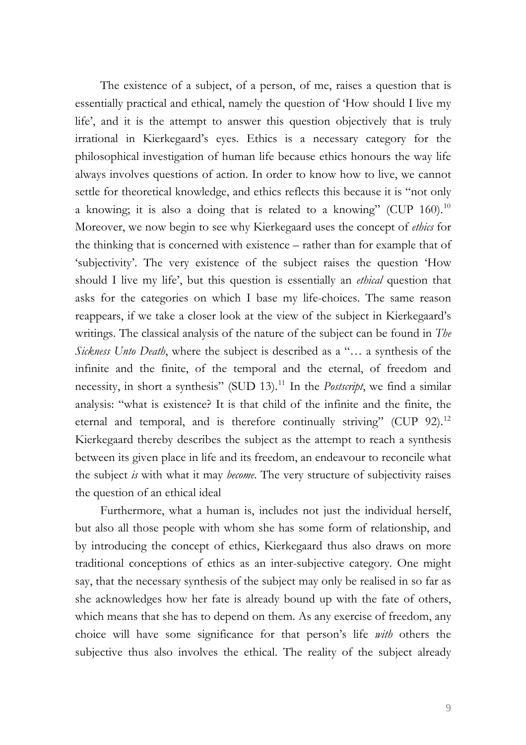The existence of a subject, of a person, of me, raises a question that is essentially practical and ethical, namely the question of 'How should I live my life', and it is the attempt to answer this question objectively that is truly irrational in Kierkegaard's eyes. Ethics is a necessary category for the philosophical investigation of human life because ethics honours the way life always involves questions of action. In order to know how to live, we cannot settle for theoretical knowledge, and ethics reflects this because it is "not only a knowing; it is also a doing that is related to a knowing" (CUP  $160$ ).<sup>[10](#page-18-1)</sup> Moreover, we now begin to see why Kierkegaard uses the concept of *ethics* for the thinking that is concerned with existence – rather than for example that of 'subjectivity'. The very existence of the subject raises the question 'How should I live my life', but this question is essentially an *ethical* question that asks for the categories on which I base my life-choices. The same reason reappears, if we take a closer look at the view of the subject in Kierkegaard's writings. The classical analysis of the nature of the subject can be found in *The Sickness Unto Death*, where the subject is described as a "… a synthesis of the infinite and the finite, of the temporal and the eternal, of freedom and necessity, in short a synthesis" (SUD 13).<sup>[11](#page-18-1)</sup> In the *Postscript*, we find a similar analysis: "what is existence? It is that child of the infinite and the finite, the eternal and temporal, and is therefore continually striving" (CUP 92).<sup>[12](#page-18-1)</sup> Kierkegaard thereby describes the subject as the attempt to reach a synthesis between its given place in life and its freedom, an endeavour to reconcile what the subject *is* with what it may *become*. The very structure of subjectivity raises the question of an ethical ideal

 Furthermore, what a human is, includes not just the individual herself, but also all those people with whom she has some form of relationship, and by introducing the concept of ethics, Kierkegaard thus also draws on more traditional conceptions of ethics as an inter-subjective category. One might say, that the necessary synthesis of the subject may only be realised in so far as she acknowledges how her fate is already bound up with the fate of others, which means that she has to depend on them. As any exercise of freedom, any choice will have some significance for that person's life *with* others the subjective thus also involves the ethical. The reality of the subject already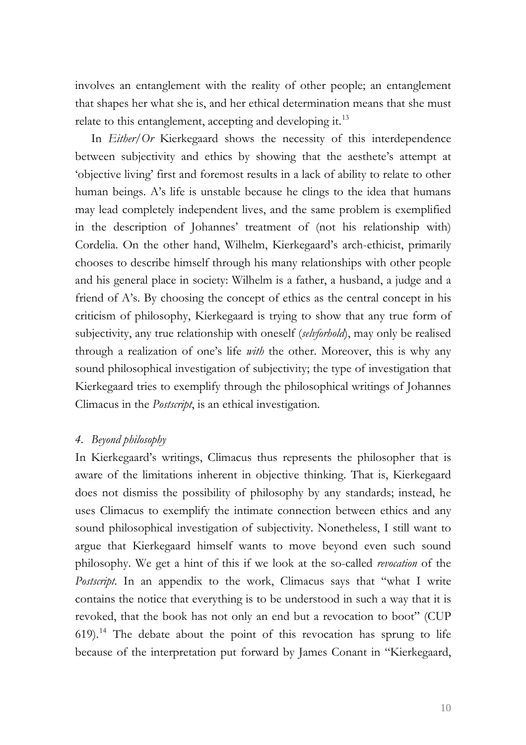involves an entanglement with the reality of other people; an entanglement that shapes her what she is, and her ethical determination means that she must relate to this entanglement, accepting and developing it.<sup>[13](#page-18-1)</sup>

In *Either/Or* Kierkegaard shows the necessity of this interdependence between subjectivity and ethics by showing that the aesthete's attempt at 'objective living' first and foremost results in a lack of ability to relate to other human beings. A's life is unstable because he clings to the idea that humans may lead completely independent lives, and the same problem is exemplified in the description of Johannes' treatment of (not his relationship with) Cordelia. On the other hand, Wilhelm, Kierkegaard's arch-ethicist, primarily chooses to describe himself through his many relationships with other people and his general place in society: Wilhelm is a father, a husband, a judge and a friend of A's. By choosing the concept of ethics as the central concept in his criticism of philosophy, Kierkegaard is trying to show that any true form of subjectivity, any true relationship with oneself (*selvforhold*), may only be realised through a realization of one's life *with* the other. Moreover, this is why any sound philosophical investigation of subjectivity; the type of investigation that Kierkegaard tries to exemplify through the philosophical writings of Johannes Climacus in the *Postscript*, is an ethical investigation.

#### *4. Beyond philosophy*

In Kierkegaard's writings, Climacus thus represents the philosopher that is aware of the limitations inherent in objective thinking. That is, Kierkegaard does not dismiss the possibility of philosophy by any standards; instead, he uses Climacus to exemplify the intimate connection between ethics and any sound philosophical investigation of subjectivity. Nonetheless, I still want to argue that Kierkegaard himself wants to move beyond even such sound philosophy. We get a hint of this if we look at the so-called *revocation* of the *Postscript*. In an appendix to the work, Climacus says that "what I write contains the notice that everything is to be understood in such a way that it is revoked, that the book has not only an end but a revocation to boot" (CUP  $619$ ).<sup>[14](#page-18-1)</sup> The debate about the point of this revocation has sprung to life because of the interpretation put forward by James Conant in "Kierkegaard,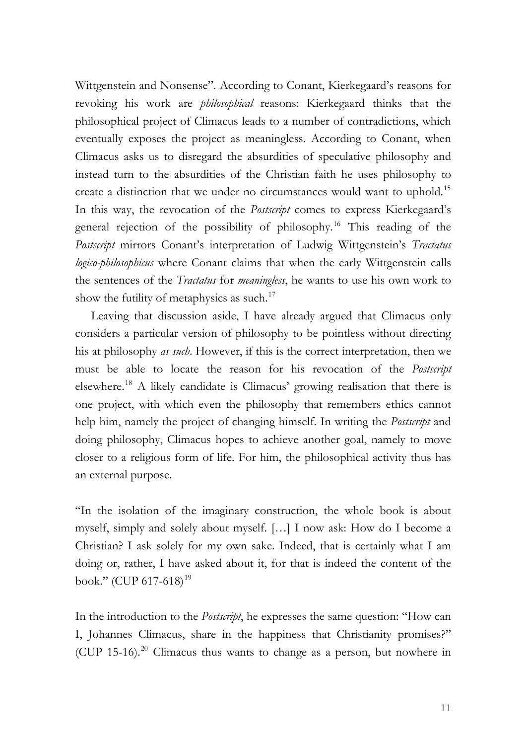Wittgenstein and Nonsense". According to Conant, Kierkegaard's reasons for revoking his work are *philosophical* reasons: Kierkegaard thinks that the philosophical project of Climacus leads to a number of contradictions, which eventually exposes the project as meaningless. According to Conant, when Climacus asks us to disregard the absurdities of speculative philosophy and instead turn to the absurdities of the Christian faith he uses philosophy to create a distinction that we under no circumstances would want to uphold.<sup>[15](#page-18-1)</sup> In this way, the revocation of the *Postscript* comes to express Kierkegaard's general rejection of the possibility of philosophy.[16](#page-18-1) This reading of the *Postscript* mirrors Conant's interpretation of Ludwig Wittgenstein's *Tractatus logico-philosophicus* where Conant claims that when the early Wittgenstein calls the sentences of the *Tractatus* for *meaningless*, he wants to use his own work to show the futility of metaphysics as such. $17$ 

Leaving that discussion aside, I have already argued that Climacus only considers a particular version of philosophy to be pointless without directing his at philosophy *as such*. However, if this is the correct interpretation, then we must be able to locate the reason for his revocation of the *Postscript*  elsewhere.[18](#page-18-1) A likely candidate is Climacus' growing realisation that there is one project, with which even the philosophy that remembers ethics cannot help him, namely the project of changing himself. In writing the *Postscript* and doing philosophy, Climacus hopes to achieve another goal, namely to move closer to a religious form of life. For him, the philosophical activity thus has an external purpose.

"In the isolation of the imaginary construction, the whole book is about myself, simply and solely about myself. […] I now ask: How do I become a Christian? I ask solely for my own sake. Indeed, that is certainly what I am doing or, rather, I have asked about it, for that is indeed the content of the book." (CUP 617-618)<sup>[19](#page-18-1)</sup>

In the introduction to the *Postscript*, he expresses the same question: "How can I, Johannes Climacus, share in the happiness that Christianity promises?" (CUP 15-16).<sup>[20](#page-18-1)</sup> Climacus thus wants to change as a person, but nowhere in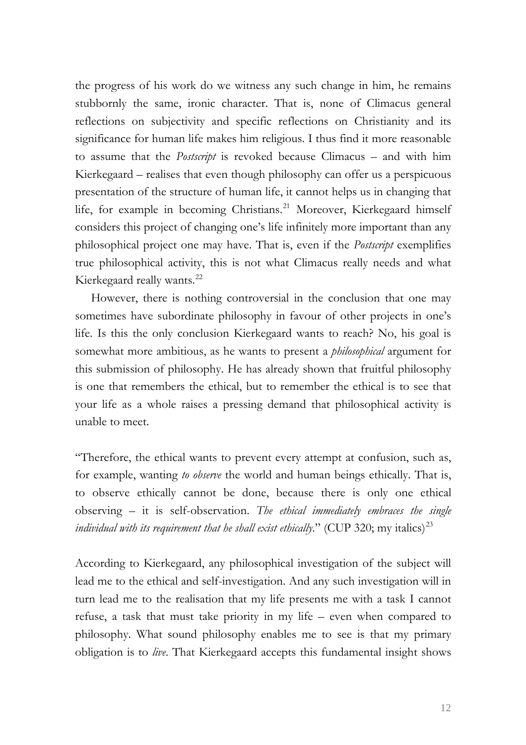the progress of his work do we witness any such change in him, he remains stubbornly the same, ironic character. That is, none of Climacus general reflections on subjectivity and specific reflections on Christianity and its significance for human life makes him religious. I thus find it more reasonable to assume that the *Postscript* is revoked because Climacus – and with him Kierkegaard – realises that even though philosophy can offer us a perspicuous presentation of the structure of human life, it cannot helps us in changing that life, for example in becoming Christians.<sup>[21](#page-18-1)</sup> Moreover, Kierkegaard himself considers this project of changing one's life infinitely more important than any philosophical project one may have. That is, even if the *Postscript* exemplifies true philosophical activity, this is not what Climacus really needs and what Kierkegaard really wants.<sup>[22](#page-18-1)</sup>

However, there is nothing controversial in the conclusion that one may sometimes have subordinate philosophy in favour of other projects in one's life. Is this the only conclusion Kierkegaard wants to reach? No, his goal is somewhat more ambitious, as he wants to present a *philosophical* argument for this submission of philosophy. He has already shown that fruitful philosophy is one that remembers the ethical, but to remember the ethical is to see that your life as a whole raises a pressing demand that philosophical activity is unable to meet.

"Therefore, the ethical wants to prevent every attempt at confusion, such as, for example, wanting *to observe* the world and human beings ethically. That is, to observe ethically cannot be done, because there is only one ethical observing – it is self-observation. *The ethical immediately embraces the single individual with its requirement that he shall exist ethically.*" (CUP 320; my italics)<sup>[23](#page-18-1)</sup>

According to Kierkegaard, any philosophical investigation of the subject will lead me to the ethical and self-investigation. And any such investigation will in turn lead me to the realisation that my life presents me with a task I cannot refuse, a task that must take priority in my life – even when compared to philosophy. What sound philosophy enables me to see is that my primary obligation is to *live*. That Kierkegaard accepts this fundamental insight shows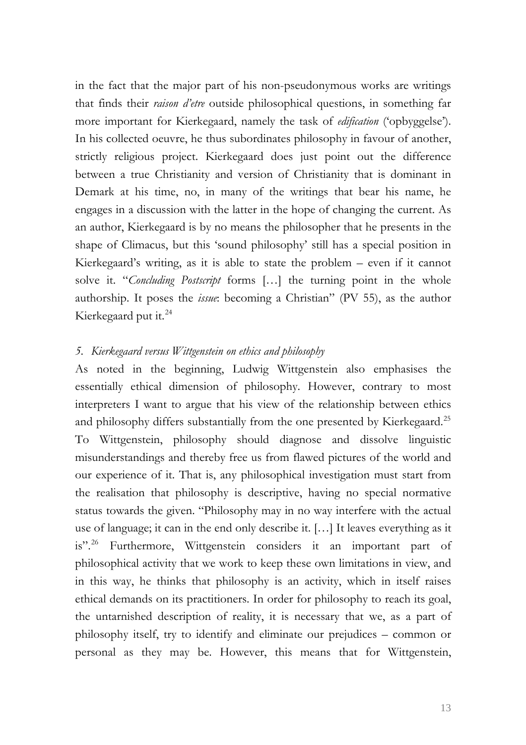in the fact that the major part of his non-pseudonymous works are writings that finds their *raison d'etre* outside philosophical questions, in something far more important for Kierkegaard, namely the task of *edification* ('opbyggelse'). In his collected oeuvre, he thus subordinates philosophy in favour of another, strictly religious project. Kierkegaard does just point out the difference between a true Christianity and version of Christianity that is dominant in Demark at his time, no, in many of the writings that bear his name, he engages in a discussion with the latter in the hope of changing the current. As an author, Kierkegaard is by no means the philosopher that he presents in the shape of Climacus, but this 'sound philosophy' still has a special position in Kierkegaard's writing, as it is able to state the problem – even if it cannot solve it. "*Concluding Postscript* forms […] the turning point in the whole authorship. It poses the *issue*: becoming a Christian" (PV 55), as the author Kierkegaard put it. $^{24}$  $^{24}$  $^{24}$ 

## *5. Kierkegaard versus Wittgenstein on ethics and philosophy*

As noted in the beginning, Ludwig Wittgenstein also emphasises the essentially ethical dimension of philosophy. However, contrary to most interpreters I want to argue that his view of the relationship between ethics and philosophy differs substantially from the one presented by Kierkegaard.<sup>[25](#page-18-1)</sup> To Wittgenstein, philosophy should diagnose and dissolve linguistic misunderstandings and thereby free us from flawed pictures of the world and our experience of it. That is, any philosophical investigation must start from the realisation that philosophy is descriptive, having no special normative status towards the given. "Philosophy may in no way interfere with the actual use of language; it can in the end only describe it. […] It leaves everything as it is".<sup>[26](#page-18-1)</sup> Furthermore, Wittgenstein considers it an important part of philosophical activity that we work to keep these own limitations in view, and in this way, he thinks that philosophy is an activity, which in itself raises ethical demands on its practitioners. In order for philosophy to reach its goal, the untarnished description of reality, it is necessary that we, as a part of philosophy itself, try to identify and eliminate our prejudices – common or personal as they may be. However, this means that for Wittgenstein,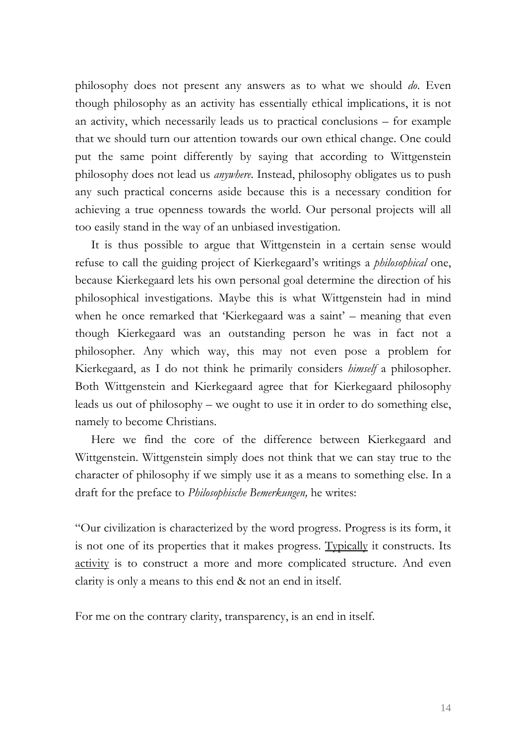philosophy does not present any answers as to what we should *do*. Even though philosophy as an activity has essentially ethical implications, it is not an activity, which necessarily leads us to practical conclusions – for example that we should turn our attention towards our own ethical change. One could put the same point differently by saying that according to Wittgenstein philosophy does not lead us *anywhere*. Instead, philosophy obligates us to push any such practical concerns aside because this is a necessary condition for achieving a true openness towards the world. Our personal projects will all too easily stand in the way of an unbiased investigation.

It is thus possible to argue that Wittgenstein in a certain sense would refuse to call the guiding project of Kierkegaard's writings a *philosophical* one, because Kierkegaard lets his own personal goal determine the direction of his philosophical investigations. Maybe this is what Wittgenstein had in mind when he once remarked that 'Kierkegaard was a saint' – meaning that even though Kierkegaard was an outstanding person he was in fact not a philosopher. Any which way, this may not even pose a problem for Kierkegaard, as I do not think he primarily considers *himself* a philosopher. Both Wittgenstein and Kierkegaard agree that for Kierkegaard philosophy leads us out of philosophy – we ought to use it in order to do something else, namely to become Christians.

Here we find the core of the difference between Kierkegaard and Wittgenstein. Wittgenstein simply does not think that we can stay true to the character of philosophy if we simply use it as a means to something else. In a draft for the preface to *Philosophische Bemerkungen,* he writes:

"Our civilization is characterized by the word progress. Progress is its form, it is not one of its properties that it makes progress. Typically it constructs. Its activity is to construct a more and more complicated structure. And even clarity is only a means to this end & not an end in itself.

For me on the contrary clarity, transparency, is an end in itself.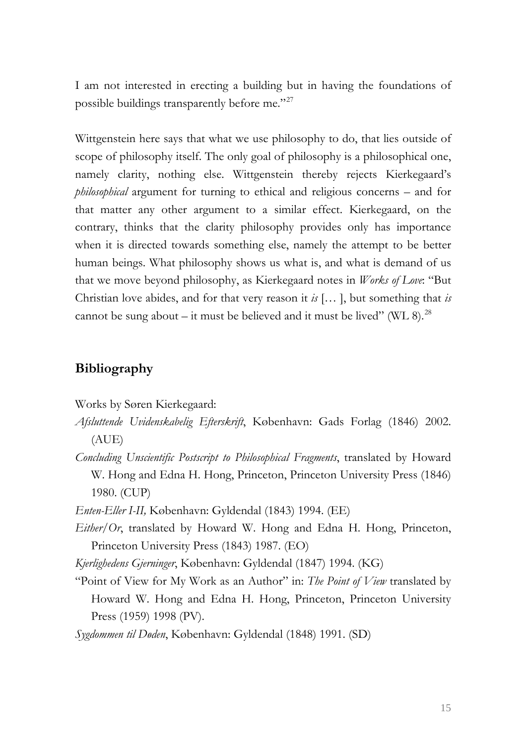I am not interested in erecting a building but in having the foundations of possible buildings transparently before me."[27](#page-18-1)

Wittgenstein here says that what we use philosophy to do, that lies outside of scope of philosophy itself. The only goal of philosophy is a philosophical one, namely clarity, nothing else. Wittgenstein thereby rejects Kierkegaard's *philosophical* argument for turning to ethical and religious concerns – and for that matter any other argument to a similar effect. Kierkegaard, on the contrary, thinks that the clarity philosophy provides only has importance when it is directed towards something else, namely the attempt to be better human beings. What philosophy shows us what is, and what is demand of us that we move beyond philosophy, as Kierkegaard notes in *Works of Love*: "But Christian love abides, and for that very reason it *is* [… ], but something that *is*  cannot be sung about – it must be believed and it must be lived" (WL 8).<sup>[28](#page-18-1)</sup>

# **Bibliography**

Works by Søren Kierkegaard:

- *Afsluttende Uvidenskabelig Efterskrift*, København: Gads Forlag (1846) 2002. (AUE)
- *Concluding Unscientific Postscript to Philosophical Fragments*, translated by Howard W. Hong and Edna H. Hong, Princeton, Princeton University Press (1846) 1980. (CUP)

*Enten-Eller I-II,* København: Gyldendal (1843) 1994. (EE)

*Either/Or*, translated by Howard W. Hong and Edna H. Hong, Princeton, Princeton University Press (1843) 1987. (EO)

*Kjerlighedens Gjerninger*, København: Gyldendal (1847) 1994. (KG)

"Point of View for My Work as an Author" in: *The Point of View* translated by Howard W. Hong and Edna H. Hong, Princeton, Princeton University Press (1959) 1998 (PV).

*Sygdommen til Døden*, København: Gyldendal (1848) 1991. (SD)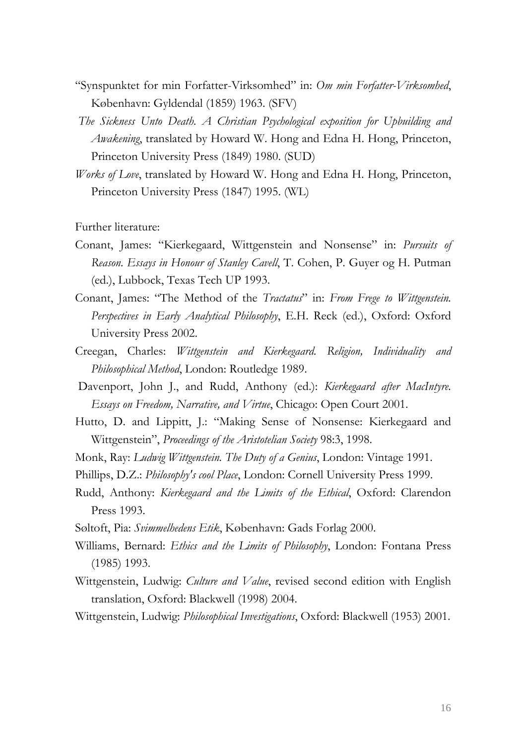- "Synspunktet for min Forfatter-Virksomhed" in: *Om min Forfatter-Virksomhed*, København: Gyldendal (1859) 1963. (SFV)
- *The Sickness Unto Death. A Christian Psychological exposition for Upbuilding and Awakening*, translated by Howard W. Hong and Edna H. Hong, Princeton, Princeton University Press (1849) 1980. (SUD)
- *Works of Love*, translated by Howard W. Hong and Edna H. Hong, Princeton, Princeton University Press (1847) 1995. (WL)

Further literature:

- Conant, James: "Kierkegaard, Wittgenstein and Nonsense" in: *Pursuits of Reason. Essays in Honour of Stanley Cavell*, T. Cohen, P. Guyer og H. Putman (ed.), Lubbock, Texas Tech UP 1993.
- Conant, James: "The Method of the *Tractatus*" in: *From Frege to Wittgenstein. Perspectives in Early Analytical Philosophy*, E.H. Reck (ed.), Oxford: Oxford University Press 2002.
- Creegan, Charles: *Wittgenstein and Kierkegaard. Religion, Individuality and Philosophical Method*, London: Routledge 1989.
- Davenport, John J., and Rudd, Anthony (ed.): *Kierkegaard after MacIntyre. Essays on Freedom, Narrative, and Virtue*, Chicago: Open Court 2001.
- Hutto, D. and Lippitt, J.: "Making Sense of Nonsense: Kierkegaard and Wittgenstein", *Proceedings of the Aristotelian Society* 98:3, 1998.
- Monk, Ray: *Ludwig Wittgenstein. The Duty of a Genius*, London: Vintage 1991.
- Phillips, D.Z.: *Philosophy's cool Place*, London: Cornell University Press 1999.
- Rudd, Anthony: *Kierkegaard and the Limits of the Ethical*, Oxford: Clarendon Press 1993.
- Søltoft, Pia: *Svimmelhedens Etik*, København: Gads Forlag 2000.
- Williams, Bernard: *Ethics and the Limits of Philosophy*, London: Fontana Press (1985) 1993.
- Wittgenstein, Ludwig: *Culture and Value*, revised second edition with English translation, Oxford: Blackwell (1998) 2004.
- Wittgenstein, Ludwig: *Philosophical Investigations*, Oxford: Blackwell (1953) 2001.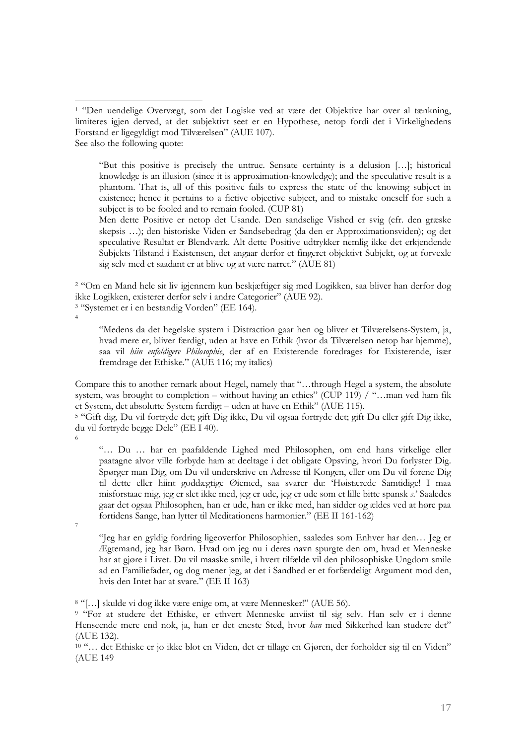"But this positive is precisely the untrue. Sensate certainty is a delusion […]; historical knowledge is an illusion (since it is approximation-knowledge); and the speculative result is a phantom. That is, all of this positive fails to express the state of the knowing subject in existence; hence it pertains to a fictive objective subject, and to mistake oneself for such a subject is to be fooled and to remain fooled. (CUP 81)

Men dette Positive er netop det Usande. Den sandselige Vished er svig (cfr. den græske skepsis …); den historiske Viden er Sandsebedrag (da den er Approximationsviden); og det speculative Resultat er Blendværk. Alt dette Positive udtrykker nemlig ikke det erkjendende Subjekts Tilstand i Existensen, det angaar derfor et fingeret objektivt Subjekt, og at forvexle sig selv med et saadant er at blive og at være narret." (AUE 81)

2 "Om en Mand hele sit liv igjennem kun beskjæftiger sig med Logikken, saa bliver han derfor dog ikke Logikken, existerer derfor selv i andre Categorier" (AUE 92). 3 "Systemet er i en bestandig Vorden" (EE 164).

4

 $\overline{a}$ 

"Medens da det hegelske system i Distraction gaar hen og bliver et Tilværelsens-System, ja, hvad mere er, bliver færdigt, uden at have en Ethik (hvor da Tilværelsen netop har hjemme), saa vil *hiin enfoldigere Philosophie*, der af en Existerende foredrages for Existerende, især fremdrage det Ethiske." (AUE 116; my italics)

Compare this to another remark about Hegel, namely that "…through Hegel a system, the absolute system, was brought to completion – without having an ethics" (CUP 119)  $/$  "…man ved ham fik et System, det absolutte System færdigt – uden at have en Ethik" (AUE 115).

5 "Gift dig, Du vil fortryde det; gift Dig ikke, Du vil ogsaa fortryde det; gift Du eller gift Dig ikke, du vil fortryde begge Dele" (EE I 40).

6

"… Du … har en paafaldende Lighed med Philosophen, om end hans virkelige eller paatagne alvor ville forbyde ham at deeltage i det obligate Opsving, hvori Du forlyster Dig. Spørger man Dig, om Du vil underskrive en Adresse til Kongen, eller om Du vil forene Dig til dette eller hiint goddægtige Øiemed, saa svarer du: 'Høistærede Samtidige! I maa misforstaae mig, jeg er slet ikke med, jeg er ude, jeg er ude som et lille bitte spansk *s*.' Saaledes gaar det ogsaa Philosophen, han er ude, han er ikke med, han sidder og ældes ved at høre paa fortidens Sange, han lytter til Meditationens harmonier." (EE II 161-162) 7

"Jeg har en gyldig fordring ligeoverfor Philosophien, saaledes som Enhver har den… Jeg er Ægtemand, jeg har Børn. Hvad om jeg nu i deres navn spurgte den om, hvad et Menneske har at gjøre i Livet. Du vil maaske smile, i hvert tilfælde vil den philosophiske Ungdom smile ad en Familiefader, og dog mener jeg, at det i Sandhed er et forfærdeligt Argument mod den, hvis den Intet har at svare." (EE II 163)

8 "[…] skulde vi dog ikke være enige om, at være Mennesker!" (AUE 56).

<sup>9</sup> "For at studere det Ethiske, er ethvert Menneske anviist til sig selv. Han selv er i denne Henseende mere end nok, ja, han er det eneste Sted, hvor *han* med Sikkerhed kan studere det" (AUE 132).

<sup>10</sup> "... det Ethiske er jo ikke blot en Viden, det er tillage en Gjøren, der forholder sig til en Viden" (AUE 149

<sup>1 &</sup>quot;Den uendelige Overvægt, som det Logiske ved at være det Objektive har over al tænkning, limiteres igjen derved, at det subjektivt seet er en Hypothese, netop fordi det i Virkelighedens Forstand er ligegyldigt mod Tilværelsen" (AUE 107). See also the following quote: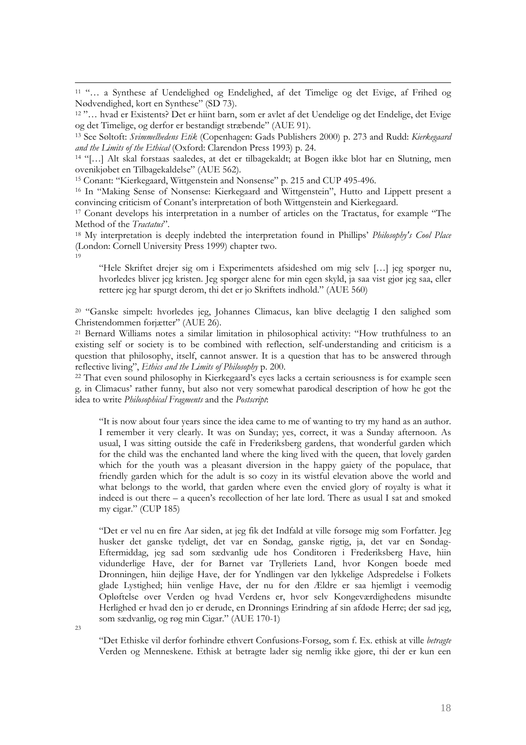11 "… a Synthese af Uendelighed og Endelighed, af det Timelige og det Evige, af Frihed og Nødvendighed, kort en Synthese" (SD 73). 12 "… hvad er Existents? Det er hiint barn, som er avlet af det Uendelige og det Endelige, det Evige

13 See Søltoft: *Svimmelhedens Etik* (Copenhagen: Gads Publishers 2000) p. 273 and Rudd: *Kierkegaard and the Limits of the Ethical* (Oxford: Clarendon Press 1993) p. 24.

14 "[…] Alt skal forstaas saaledes, at det er tilbagekaldt; at Bogen ikke blot har en Slutning, men ovenikjøbet en Tilbagekaldelse" (AUE 562).

15 Conant: "Kierkegaard, Wittgenstein and Nonsense" p. 215 and CUP 495-496.

16 In "Making Sense of Nonsense: Kierkegaard and Wittgenstein", Hutto and Lippett present a convincing criticism of Conant's interpretation of both Wittgenstein and Kierkegaard.

17 Conant develops his interpretation in a number of articles on the Tractatus, for example "The Method of the *Tractatus*".

18 My interpretation is deeply indebted the interpretation found in Phillips' *Philosophy's Cool Place* (London: Cornell University Press 1999) chapter two. 19

"Hele Skriftet drejer sig om i Experimentets afsideshed om mig selv […] jeg spørger nu, hvorledes bliver jeg kristen. Jeg spørger alene for min egen skyld, ja saa vist gjør jeg saa, eller rettere jeg har spurgt derom, thi det er jo Skriftets indhold." (AUE 560)

20 "Ganske simpelt: hvorledes jeg, Johannes Climacus, kan blive deelagtig I den salighed som Christendommen forjætter" (AUE 26).

21 Bernard Williams notes a similar limitation in philosophical activity: "How truthfulness to an existing self or society is to be combined with reflection, self-understanding and criticism is a question that philosophy, itself, cannot answer. It is a question that has to be answered through reflective living", *Ethics and the Limits of Philosophy* p. 200. 22 That even sound philosophy in Kierkegaard's eyes lacks a certain seriousness is for example seen

g. in Climacus' rather funny, but also not very somewhat parodical description of how he got the idea to write *Philosophical Fragments* and the *Postscript*:

"It is now about four years since the idea came to me of wanting to try my hand as an author. I remember it very clearly. It was on Sunday; yes, correct, it was a Sunday afternoon. As usual, I was sitting outside the café in Frederiksberg gardens, that wonderful garden which for the child was the enchanted land where the king lived with the queen, that lovely garden which for the youth was a pleasant diversion in the happy gaiety of the populace, that friendly garden which for the adult is so cozy in its wistful elevation above the world and what belongs to the world, that garden where even the envied glory of royalty is what it indeed is out there – a queen's recollection of her late lord. There as usual I sat and smoked my cigar." (CUP 185)

"Det er vel nu en fire Aar siden, at jeg fik det Indfald at ville forsøge mig som Forfatter. Jeg husker det ganske tydeligt, det var en Søndag, ganske rigtig, ja, det var en Søndag-Eftermiddag, jeg sad som sædvanlig ude hos Conditoren i Frederiksberg Have, hiin vidunderlige Have, der for Barnet var Trylleriets Land, hvor Kongen boede med Dronningen, hiin dejlige Have, der for Yndlingen var den lykkelige Adspredelse i Folkets glade Lystighed; hiin venlige Have, der nu for den Ældre er saa hjemligt i veemodig Opløftelse over Verden og hvad Verdens er, hvor selv Kongeværdighedens misundte Herlighed er hvad den jo er derude, en Dronnings Erindring af sin afdøde Herre; der sad jeg, som sædvanlig, og røg min Cigar." (AUE 170-1)

 $23$ 

 $\overline{a}$ 

"Det Ethiske vil derfor forhindre ethvert Confusions-Forsøg, som f. Ex. ethisk at ville *betragte* Verden og Menneskene. Ethisk at betragte lader sig nemlig ikke gjøre, thi der er kun een

og det Timelige, og derfor er bestandigt stræbende" (AUE 91).